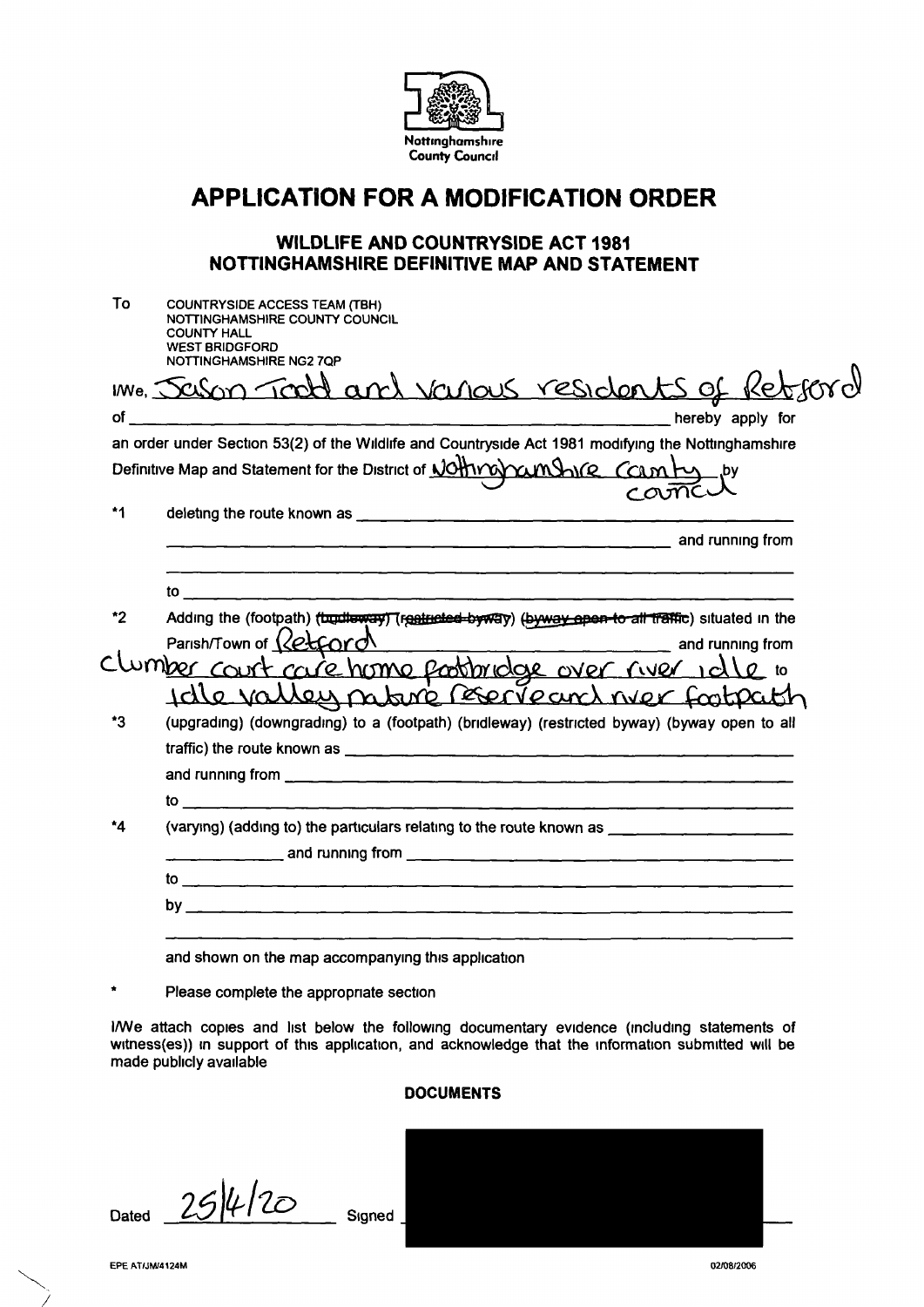

## **APPLICATION FOR A MODIFICATION ORDER**

## **WILDLIFE AND COUNTRYSIDE ACT 1981 NOTTINGHAMSHIRE DEFINITIVE MAP AND STATEMENT**

| Sason Toold and various residents of Reb<br>$i$ We, $\bar{y}$<br>an order under Section 53(2) of the Wildlife and Countryside Act 1981 modifying the Nottinghamshire<br>Definitive Map and Statement for the District of JOHTYOYCUMShife COLM FULL by<br>cama<br>*1<br>deleting the route known as $\frac{1}{2}$ and $\frac{1}{2}$ and $\frac{1}{2}$ and $\frac{1}{2}$ and $\frac{1}{2}$ and $\frac{1}{2}$ and $\frac{1}{2}$ and $\frac{1}{2}$ and $\frac{1}{2}$ and $\frac{1}{2}$ and $\frac{1}{2}$ and $\frac{1}{2}$ and $\frac{1}{2}$ and $\frac{1}{2}$ a<br>to <u>the contract of the contract of the contract of the contract of the contract of the contract of the contract of the contract of the contract of the contract of the contract of the contract of the contract of the contra</u><br>Adding the (footpath) (turdleway) (restricted-byway) (byway apon-to all traffic) situated in the<br>*2<br>Parish/Town of $\sqrt{\sqrt{e^2C_0r}}$<br>Clumber court race home postbridge over river idle to<br>Idle valley nobre Recreant wer footpath<br>*3<br>(upgrading) (downgrading) to a (footpath) (bridleway) (restricted byway) (byway open to all<br><u>to _______________________</u><br>$^{\star}$ 4<br>(varying) (adding to) the particulars relating to the route known as ___________________ | To | <b>COUNTRYSIDE ACCESS TEAM (TBH)</b><br>NOTTINGHAMSHIRE COUNTY COUNCIL<br><b>COUNTY HALL</b><br><b>WEST BRIDGFORD</b><br>NOTTINGHAMSHIRE NG27QP |
|--------------------------------------------------------------------------------------------------------------------------------------------------------------------------------------------------------------------------------------------------------------------------------------------------------------------------------------------------------------------------------------------------------------------------------------------------------------------------------------------------------------------------------------------------------------------------------------------------------------------------------------------------------------------------------------------------------------------------------------------------------------------------------------------------------------------------------------------------------------------------------------------------------------------------------------------------------------------------------------------------------------------------------------------------------------------------------------------------------------------------------------------------------------------------------------------------------------------------------------------------------------------------------------------------------------------|----|-------------------------------------------------------------------------------------------------------------------------------------------------|
|                                                                                                                                                                                                                                                                                                                                                                                                                                                                                                                                                                                                                                                                                                                                                                                                                                                                                                                                                                                                                                                                                                                                                                                                                                                                                                                    |    |                                                                                                                                                 |
|                                                                                                                                                                                                                                                                                                                                                                                                                                                                                                                                                                                                                                                                                                                                                                                                                                                                                                                                                                                                                                                                                                                                                                                                                                                                                                                    |    |                                                                                                                                                 |
|                                                                                                                                                                                                                                                                                                                                                                                                                                                                                                                                                                                                                                                                                                                                                                                                                                                                                                                                                                                                                                                                                                                                                                                                                                                                                                                    |    |                                                                                                                                                 |
|                                                                                                                                                                                                                                                                                                                                                                                                                                                                                                                                                                                                                                                                                                                                                                                                                                                                                                                                                                                                                                                                                                                                                                                                                                                                                                                    |    |                                                                                                                                                 |
|                                                                                                                                                                                                                                                                                                                                                                                                                                                                                                                                                                                                                                                                                                                                                                                                                                                                                                                                                                                                                                                                                                                                                                                                                                                                                                                    |    |                                                                                                                                                 |
|                                                                                                                                                                                                                                                                                                                                                                                                                                                                                                                                                                                                                                                                                                                                                                                                                                                                                                                                                                                                                                                                                                                                                                                                                                                                                                                    |    |                                                                                                                                                 |
|                                                                                                                                                                                                                                                                                                                                                                                                                                                                                                                                                                                                                                                                                                                                                                                                                                                                                                                                                                                                                                                                                                                                                                                                                                                                                                                    |    |                                                                                                                                                 |
|                                                                                                                                                                                                                                                                                                                                                                                                                                                                                                                                                                                                                                                                                                                                                                                                                                                                                                                                                                                                                                                                                                                                                                                                                                                                                                                    |    |                                                                                                                                                 |
|                                                                                                                                                                                                                                                                                                                                                                                                                                                                                                                                                                                                                                                                                                                                                                                                                                                                                                                                                                                                                                                                                                                                                                                                                                                                                                                    |    |                                                                                                                                                 |
|                                                                                                                                                                                                                                                                                                                                                                                                                                                                                                                                                                                                                                                                                                                                                                                                                                                                                                                                                                                                                                                                                                                                                                                                                                                                                                                    |    |                                                                                                                                                 |
|                                                                                                                                                                                                                                                                                                                                                                                                                                                                                                                                                                                                                                                                                                                                                                                                                                                                                                                                                                                                                                                                                                                                                                                                                                                                                                                    |    |                                                                                                                                                 |
|                                                                                                                                                                                                                                                                                                                                                                                                                                                                                                                                                                                                                                                                                                                                                                                                                                                                                                                                                                                                                                                                                                                                                                                                                                                                                                                    |    |                                                                                                                                                 |
|                                                                                                                                                                                                                                                                                                                                                                                                                                                                                                                                                                                                                                                                                                                                                                                                                                                                                                                                                                                                                                                                                                                                                                                                                                                                                                                    |    |                                                                                                                                                 |
|                                                                                                                                                                                                                                                                                                                                                                                                                                                                                                                                                                                                                                                                                                                                                                                                                                                                                                                                                                                                                                                                                                                                                                                                                                                                                                                    |    |                                                                                                                                                 |
|                                                                                                                                                                                                                                                                                                                                                                                                                                                                                                                                                                                                                                                                                                                                                                                                                                                                                                                                                                                                                                                                                                                                                                                                                                                                                                                    |    |                                                                                                                                                 |
|                                                                                                                                                                                                                                                                                                                                                                                                                                                                                                                                                                                                                                                                                                                                                                                                                                                                                                                                                                                                                                                                                                                                                                                                                                                                                                                    |    |                                                                                                                                                 |
|                                                                                                                                                                                                                                                                                                                                                                                                                                                                                                                                                                                                                                                                                                                                                                                                                                                                                                                                                                                                                                                                                                                                                                                                                                                                                                                    |    |                                                                                                                                                 |
|                                                                                                                                                                                                                                                                                                                                                                                                                                                                                                                                                                                                                                                                                                                                                                                                                                                                                                                                                                                                                                                                                                                                                                                                                                                                                                                    |    |                                                                                                                                                 |
|                                                                                                                                                                                                                                                                                                                                                                                                                                                                                                                                                                                                                                                                                                                                                                                                                                                                                                                                                                                                                                                                                                                                                                                                                                                                                                                    |    |                                                                                                                                                 |
|                                                                                                                                                                                                                                                                                                                                                                                                                                                                                                                                                                                                                                                                                                                                                                                                                                                                                                                                                                                                                                                                                                                                                                                                                                                                                                                    |    | and shown on the map accompanying this application                                                                                              |

\* Please complete the appropnate section

l/We attach copies and list below the following documentary evidence (including statements of witness(es)) in support of this application, and acknowledge that the information submitted will be made publicly available

## **DOCUMENTS**

Dated  $25/4/20$  Signed